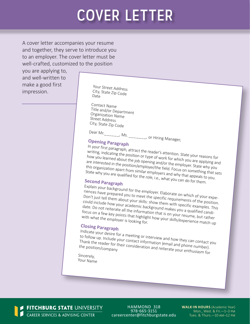# COVER LETTER

A cover letter accompanies your resume and together, they serve to introduce you to an employer. The cover letter must be well-crafted, customized to the position

you are applying to, and well-written to make a good first make a good in st<br>impression. The Suity State Zip Code

City, State Zip Code Date

Contact Name Title and/or Department Organization Name Street Address City, State Zip Code

Dear Mr. \_\_\_\_\_\_, Ms. \_\_\_\_\_\_\_, or Hiring Manager,

## **Opening Paragraph**

In your first paragraph, attract the reader's attention. State your reasons for writing, indicating the position or type of work for which you are applying and how you learned about the job opening and/or the employer. State why you are interested in the position/employer/the field. Focus on something that sets this organization apart from similar employers and why that appeals to you. State why you are qualified for the role, i.e., what you can do for them.

# **Second Paragraph**

Explain your background for the employer. Elaborate on which of your experiences have prepared you to meet the specific requirements of the position. Don't just tell them about your skills: show them with specific examples. This could include how your academic background makes you a qualified candidate. Do not reiterate all the information that is on your resume, but rather focus on a few key points that highlight how your resume, but rather<br>with what the employer is looking for.<br>Not in this capacity of the employer is looking for.

## **Closing Paragraph**

Indicate your desire for a meeting or interview and how they can contact you to follow up. Include your contact information (email and phone number). Thank the reader for their contact information (email and phone number).<br>the position/company<br>the position/company

Sincerely, Your Name

FITCHBURG STATE UNIVERSITY CAREER SERVICES & ADVISING CENTER

HAMMOND 318 978-665-3151 careercenter@fitchburgstate.edu **WALK-IN HOURS** (Academic Year) Mon., Wed. & Fri.—1–3 pm Tues. & Thurs.—10 am–12 pm